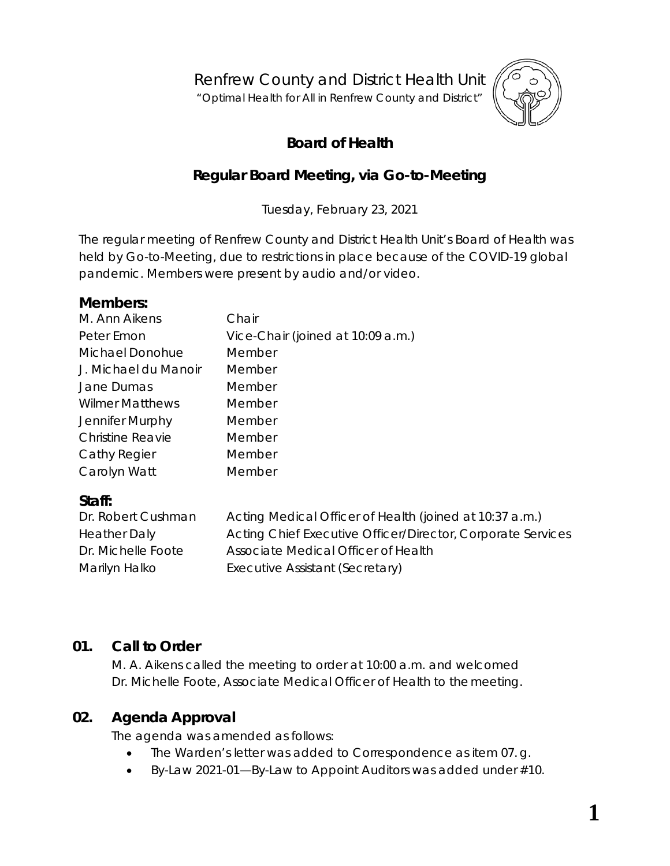Renfrew County and District Health Unit

"*Optimal Health for All in Renfrew County and District"*



# **Board of Health**

## **Regular Board Meeting, via** *Go-to-Meeting*

Tuesday, February 23, 2021

The regular meeting of Renfrew County and District Health Unit's Board of Health was held by *Go-to-Meeting,* due to restrictions in place because of the COVID-19 global pandemic. Members were present by audio and/or video.

## **Members:**

| Chair                             |
|-----------------------------------|
| Vice-Chair (joined at 10:09 a.m.) |
| Member                            |
| Member                            |
| Member                            |
| Member                            |
| Member                            |
| Member                            |
| Member                            |
| Member                            |
|                                   |

## **Staff:**

| Dr. Robert Cushman  | Acting Medical Officer of Health (joined at 10:37 a.m.)     |
|---------------------|-------------------------------------------------------------|
| <b>Heather Daly</b> | Acting Chief Executive Officer/Director, Corporate Services |
| Dr. Michelle Foote  | Associate Medical Officer of Health                         |
| Marilyn Halko       | Executive Assistant (Secretary)                             |

## **01. Call to Order**

M. A. Aikens called the meeting to order at 10:00 a.m. and welcomed Dr. Michelle Foote, Associate Medical Officer of Health to the meeting.

## **02. Agenda Approval**

The agenda was amended as follows:

- The Warden's letter was added to Correspondence as item 07.g.
- By-Law 2021-01—By-Law to Appoint Auditors was added under #10.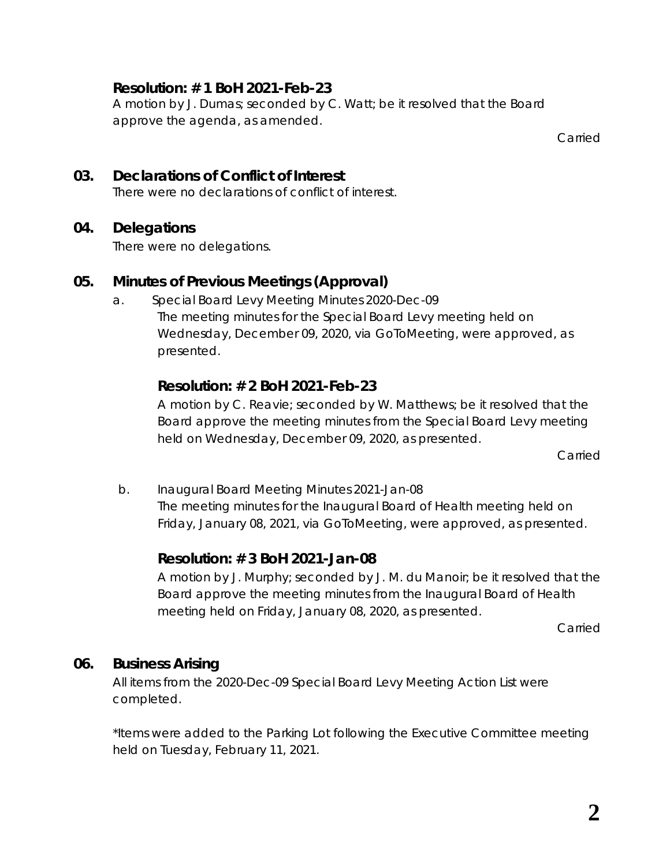### **Resolution: # 1 BoH 2021-Feb-23**

A motion by J. Dumas; seconded by C. Watt; be it resolved that the Board approve the agenda, as amended.

Carried

#### **03. Declarations of Conflict of Interest** There were no declarations of conflict of interest.

### **04. Delegations**

There were no delegations.

### **05. Minutes of Previous Meetings (Approval)**

a. Special Board Levy Meeting Minutes 2020-Dec-09 The meeting minutes for the Special Board Levy meeting held on Wednesday, December 09, 2020, via *GoToMeeting*, were approved, as presented.

## **Resolution: # 2 BoH 2021-Feb-23**

A motion by C. Reavie; seconded by W. Matthews; be it resolved that the Board approve the meeting minutes from the Special Board Levy meeting held on Wednesday, December 09, 2020, as presented.

Carried

b. Inaugural Board Meeting Minutes 2021-Jan-08 The meeting minutes for the Inaugural Board of Health meeting held on Friday, January 08, 2021, via *GoToMeeting*, were approved, as presented.

## **Resolution: # 3 BoH 2021-Jan-08**

A motion by J. Murphy; seconded by J. M. du Manoir; be it resolved that the Board approve the meeting minutes from the Inaugural Board of Health meeting held on Friday, January 08, 2020, as presented.

Carried

### **06. Business Arising**

All items from the 2020-Dec-09 Special Board Levy Meeting Action List were completed.

\*Items were added to the *Parking Lot* following the Executive Committee meeting held on Tuesday, February 11, 2021.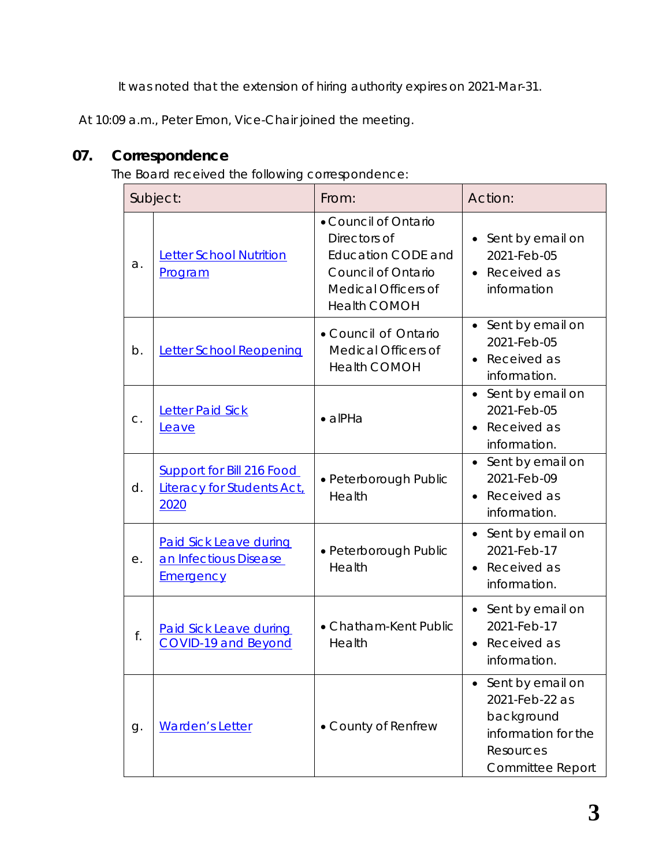It was noted that the extension of hiring authority expires on 2021-Mar-31.

At 10:09 a.m., Peter Emon, Vice-Chair joined the meeting.

## **07. Correspondence**

The Board received the following correspondence:

| Subject: |                                                                            | From:                                                                                                                                        | Action:                                                                                                         |
|----------|----------------------------------------------------------------------------|----------------------------------------------------------------------------------------------------------------------------------------------|-----------------------------------------------------------------------------------------------------------------|
| a.       | <b>Letter School Nutrition</b><br>Program                                  | • Council of Ontario<br>Directors of<br><b>Education CODE and</b><br><b>Council of Ontario</b><br>Medical Officers of<br><b>Health COMOH</b> | Sent by email on<br>2021-Feb-05<br>Received as<br>$\bullet$<br>information                                      |
| b.       | <b>Letter School Reopening</b>                                             | • Council of Ontario<br>Medical Officers of<br><b>Health COMOH</b>                                                                           | Sent by email on<br>2021-Feb-05<br>Received as<br>$\bullet$<br>information.                                     |
| C.       | <b>Letter Paid Sick</b><br>Leave                                           | $\bullet$ alPHa                                                                                                                              | Sent by email on<br>$\bullet$<br>2021-Feb-05<br>Received as<br>information.                                     |
| d.       | <b>Support for Bill 216 Food</b><br>Literacy for Students Act,<br>2020     | • Peterborough Public<br>Health                                                                                                              | Sent by email on<br>$\bullet$<br>2021-Feb-09<br>Received as<br>$\bullet$<br>information.                        |
| е.       | <b>Paid Sick Leave during</b><br>an Infectious Disease<br><b>Emergency</b> | · Peterborough Public<br>Health                                                                                                              | Sent by email on<br>2021-Feb-17<br>Received as<br>$\bullet$<br>information.                                     |
| f.       | <b>Paid Sick Leave during</b><br><b>COVID-19 and Beyond</b>                | • Chatham-Kent Public<br>Health                                                                                                              | • Sent by email on<br>2021-Feb-17<br>Received as<br>information.                                                |
| g.       | <b>Warden's Letter</b>                                                     | • County of Renfrew                                                                                                                          | Sent by email on<br>2021-Feb-22 as<br>background<br>information for the<br>Resources<br><b>Committee Report</b> |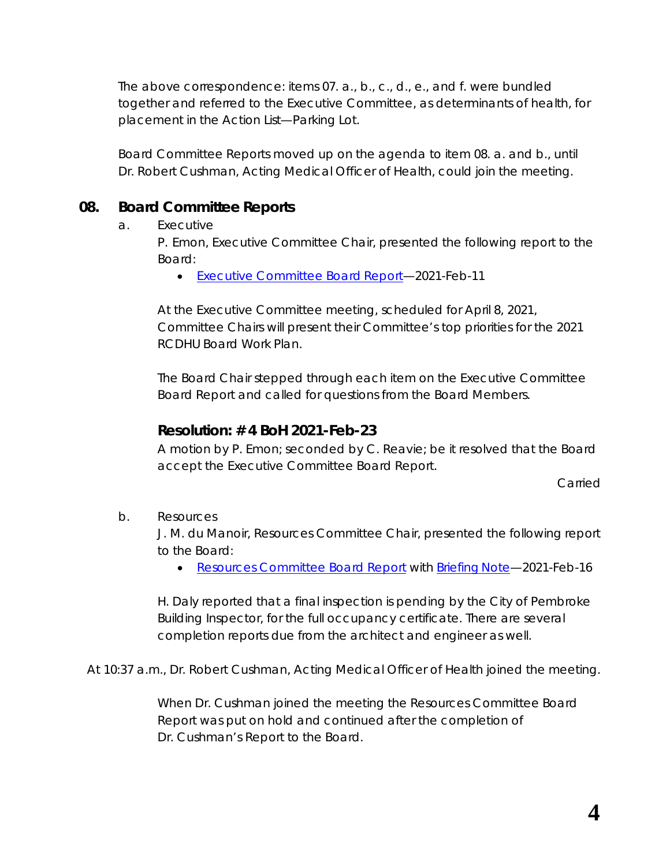The above correspondence: items 07. a., b., c., d., e., and f. were bundled together and referred to the Executive Committee, as determinants of health, for placement in the *Action List—Parking Lot*.

*Board Committee Reports* moved up on the agenda to item 08. a. and b., until Dr. Robert Cushman, Acting Medical Officer of Health, could join the meeting.

## **08. Board Committee Reports**

#### a. Executive

P. Emon, Executive Committee Chair, presented the following report to the Board:

• [Executive Committee Board](https://www.rcdhu.com/wp-content/uploads/2021/11/09.-a.-Executive-Committee-Board-Report-for-2021-Feb-23.pdf) Report—2021-Feb-11

At the Executive Committee meeting, scheduled for April 8, 2021, Committee Chairs will present their Committee's top priorities for the 2021 RCDHU Board Work Plan.

The Board Chair stepped through each item on the *Executive Committee Board Report* and called for questions from the Board Members.

### **Resolution: # 4 BoH 2021-Feb-23**

A motion by P. Emon; seconded by C. Reavie; be it resolved that the Board accept the Executive Committee Board Report.

Carried

b. Resources

J. M. du Manoir, Resources Committee Chair, presented the following report to the Board:

• [Resources Committee Board Report](https://www.rcdhu.com/wp-content/uploads/2021/11/Resources-Committee-Board-Report-2020-Feb-23-with-links.pdf) with [Briefing](https://www.rcdhu.com/wp-content/uploads/2021/11/08.-a.-Briefing-Note-February-2021.pdf) Note-2021-Feb-16

H. Daly reported that a final inspection is pending by the City of Pembroke Building Inspector, for the full occupancy certificate. There are several completion reports due from the architect and engineer as well.

At 10:37 a.m., Dr. Robert Cushman, Acting Medical Officer of Health joined the meeting.

When Dr. Cushman joined the meeting the *Resources Committee Board Report* was put on hold and continued after the completion of Dr. Cushman's *Report to the Board*.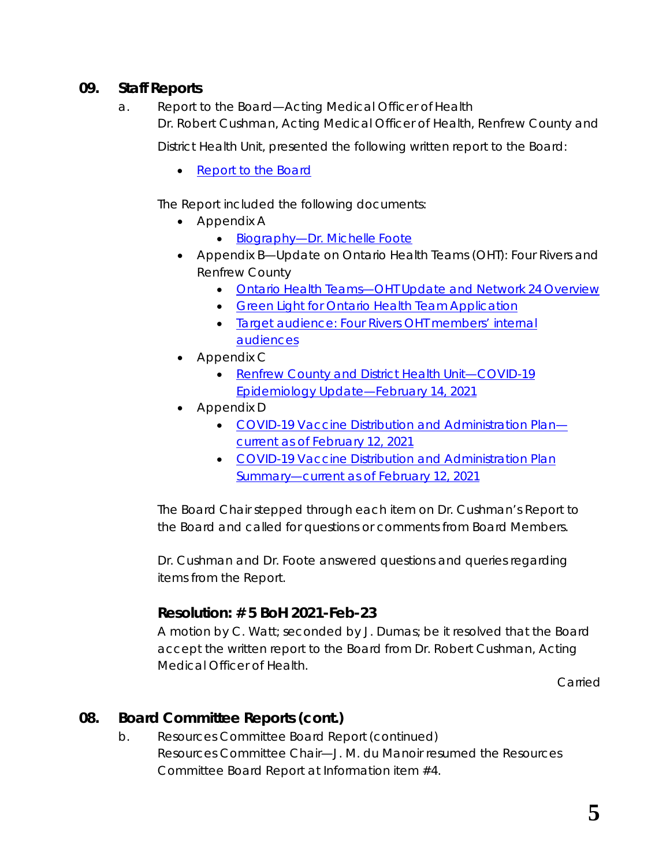### **09. Staff Reports**

a. Report to the Board—Acting Medical Officer of Health Dr. Robert Cushman, Acting Medical Officer of Health, Renfrew County and

District Health Unit, presented the following written report to the Board:

• [Report to the](https://www.rcdhu.com/wp-content/uploads/2021/11/08.-a.-Report-to-the-Board-Acting-Medical-Officer-of-Health-February-23-2021.pdf) Board

The Report included the following documents:

- Appendix A
	- [Biography—Dr. Michelle](https://www.rcdhu.com/wp-content/uploads/2021/11/Biography-Michelle-Foote.pdf) Foote
- Appendix B—Update on Ontario Health Teams (OHT): Four Rivers and Renfrew County
	- [Ontario Health Teams—OHT Update and Network 24](https://www.rcdhu.com/wp-content/uploads/2021/11/OHT-Network-24.pdf) Overview
	- [Green Light for Ontario Health Team](https://www.rcdhu.com/wp-content/uploads/2021/11/Green-Light.pdf) Application
	- [Target audience: Four Rivers OHT members' internal](https://www.rcdhu.com/wp-content/uploads/2021/11/Target-audience.pdf)  [audiences](https://www.rcdhu.com/wp-content/uploads/2021/11/Target-audience.pdf)
- Appendix C
	- [Renfrew County and District Health Unit—COVID-19](https://www.rcdhu.com/wp-content/uploads/2021/11/Target-audience.pdf)  [Epidemiology Update—February 14, 2021](https://www.rcdhu.com/wp-content/uploads/2021/11/Target-audience.pdf)
- Appendix D
	- [COVID-19 Vaccine Distribution and Administration Plan](https://www.rcdhu.com/wp-content/uploads/2021/11/COMPLETE-RCDHU-Vaccine-Distribution-and-Administration-Plan-2021-02-12-FINAL.pdf) [current as of February 12, 2021](https://www.rcdhu.com/wp-content/uploads/2021/11/COMPLETE-RCDHU-Vaccine-Distribution-and-Administration-Plan-2021-02-12-FINAL.pdf)
	- [COVID-19 Vaccine Distribution and Administration Plan](https://www.rcdhu.com/wp-content/uploads/2021/11/SUMMARY-RCDHU-Vaccine-Distribution-and-Administration-Plan-Summary-2021-02-12-FINAL.pdf)  [Summary—current as of February 12, 2021](https://www.rcdhu.com/wp-content/uploads/2021/11/SUMMARY-RCDHU-Vaccine-Distribution-and-Administration-Plan-Summary-2021-02-12-FINAL.pdf)

The Board Chair stepped through each item on Dr. Cushman's *Report to the Board* and called for questions or comments from Board Members.

Dr. Cushman and Dr. Foote answered questions and queries regarding items from the *Report*.

## **Resolution: # 5 BoH 2021-Feb-23**

A motion by C. Watt; seconded by J. Dumas; be it resolved that the Board accept the written report to the Board from Dr. Robert Cushman, Acting Medical Officer of Health.

Carried

## **08. Board Committee Reports (cont.)**

b. Resources Committee Board Report (continued) Resources Committee Chair—J. M. du Manoir resumed the *Resources Committee Board Report* at *Information* item #4.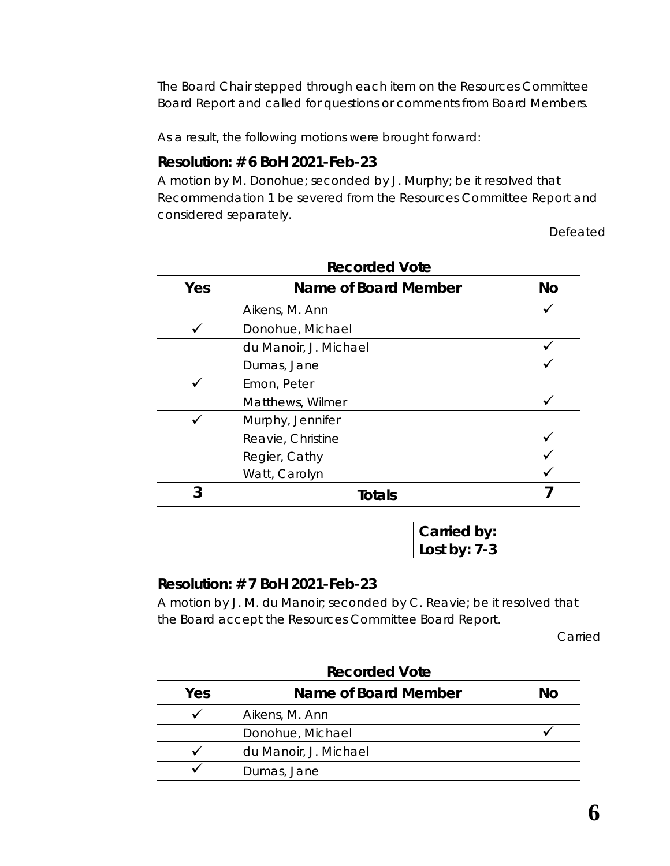The Board Chair stepped through each item on the *Resources Committee Board Report* and called for questions or comments from Board Members.

As a result, the following motions were brought forward:

### **Resolution: # 6 BoH 2021-Feb-23**

A motion by M. Donohue; seconded by J. Murphy; be it resolved that Recommendation 1 be severed from the Resources Committee Report and considered separately.

Defeated

| Yes | Name of Board Member  | <b>No</b> |
|-----|-----------------------|-----------|
|     | Aikens, M. Ann        |           |
|     | Donohue, Michael      |           |
|     | du Manoir, J. Michael |           |
|     | Dumas, Jane           |           |
|     | Emon, Peter           |           |
|     | Matthews, Wilmer      |           |
|     | Murphy, Jennifer      |           |
|     | Reavie, Christine     |           |
|     | Regier, Cathy         |           |
|     | Watt, Carolyn         |           |
| 3   | <b>Totals</b>         |           |

**Recorded Vote**

| Carried by:    |  |
|----------------|--|
| Lost by: $7-3$ |  |

### **Resolution: # 7 BoH 2021-Feb-23**

A motion by J. M. du Manoir; seconded by C. Reavie; be it resolved that the Board accept the Resources Committee Board Report.

Carried

| Yes | Name of Board Member  | Nο |
|-----|-----------------------|----|
|     | Aikens, M. Ann        |    |
|     | Donohue, Michael      |    |
|     | du Manoir, J. Michael |    |
|     | Dumas, Jane           |    |

**Recorded Vote**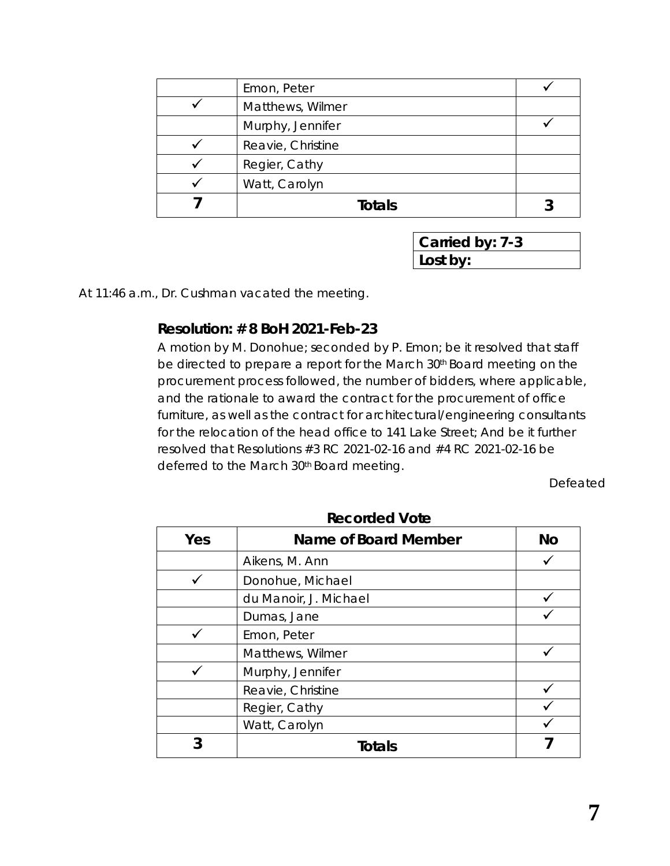| Emon, Peter       |  |
|-------------------|--|
| Matthews, Wilmer  |  |
| Murphy, Jennifer  |  |
| Reavie, Christine |  |
| Regier, Cathy     |  |
| Watt, Carolyn     |  |
| <b>Totals</b>     |  |

**Carried by: 7-3 Lost by:**

At 11:46 a.m., Dr. Cushman vacated the meeting.

### **Resolution: # 8 BoH 2021-Feb-23**

A motion by M. Donohue; seconded by P. Emon; be it resolved that staff be directed to prepare a report for the March 30<sup>th</sup> Board meeting on the procurement process followed, the number of bidders, where applicable, and the rationale to award the contract for the procurement of office furniture, as well as the contract for architectural/engineering consultants for the relocation of the head office to 141 Lake Street; And be it further resolved that Resolutions #3 RC 2021-02-16 and #4 RC 2021-02-16 be deferred to the March 30<sup>th</sup> Board meeting.

Defeated

| Yes | Name of Board Member  | <b>No</b> |
|-----|-----------------------|-----------|
|     | Aikens, M. Ann        |           |
|     | Donohue, Michael      |           |
|     | du Manoir, J. Michael |           |
|     | Dumas, Jane           |           |
|     | Emon, Peter           |           |
|     | Matthews, Wilmer      |           |
|     | Murphy, Jennifer      |           |
|     | Reavie, Christine     |           |
|     | Regier, Cathy         |           |
|     | Watt, Carolyn         |           |
|     | Totals                |           |

**Recorded Vote**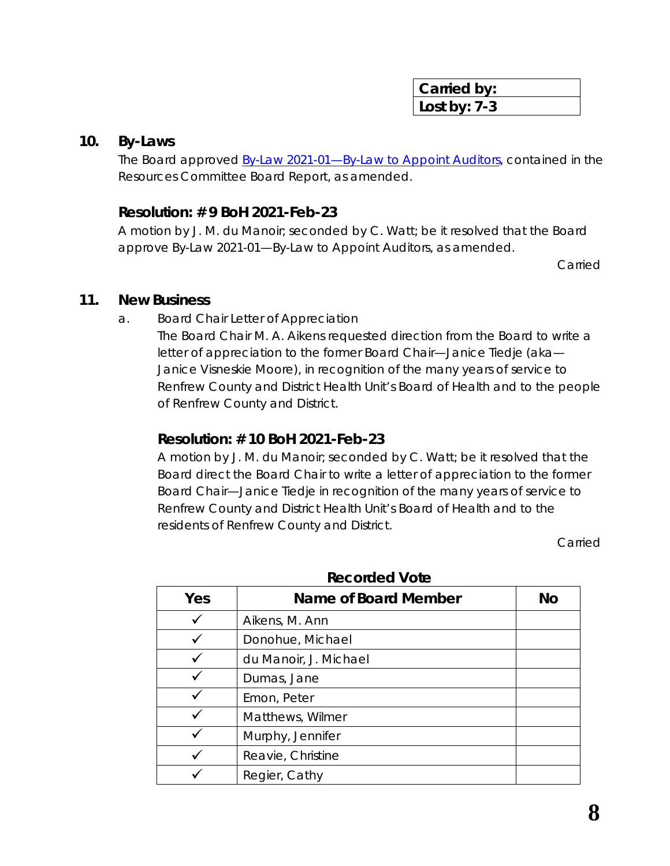| Carried by:    |  |
|----------------|--|
| Lost by: $7-3$ |  |

#### **10. By-Laws**

The Board approved **By-Law 2021-01—By-Law to Appoint Auditors**, contained in the Resources Committee Board Report, as amended.

### **Resolution: # 9 BoH 2021-Feb-23**

A motion by J. M. du Manoir; seconded by C. Watt; be it resolved that the Board approve By-Law 2021-01—By-Law to Appoint Auditors, as amended.

Carried

#### **11. New Business**

a. Board Chair Letter of Appreciation

The Board Chair M. A. Aikens requested direction from the Board to write a letter of appreciation to the former Board Chair—Janice Tiedje (aka— Janice Visneskie Moore), in recognition of the many years of service to Renfrew County and District Health Unit's Board of Health and to the people of Renfrew County and District.

### **Resolution: # 10 BoH 2021-Feb-23**

A motion by J. M. du Manoir; seconded by C. Watt; be it resolved that the Board direct the Board Chair to write a letter of appreciation to the former Board Chair—Janice Tiedje in recognition of the many years of service to Renfrew County and District Health Unit's Board of Health and to the residents of Renfrew County and District.

Carried

| Yes | Name of Board Member  | <b>No</b> |
|-----|-----------------------|-----------|
|     | Aikens, M. Ann        |           |
|     | Donohue, Michael      |           |
|     | du Manoir, J. Michael |           |
|     | Dumas, Jane           |           |
|     | Emon, Peter           |           |
|     | Matthews, Wilmer      |           |
|     | Murphy, Jennifer      |           |
|     | Reavie, Christine     |           |
|     | Regier, Cathy         |           |

**Recorded Vote**